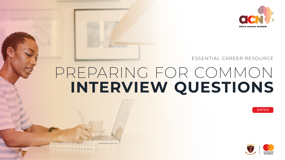# PREPARING FOR COMMON **INTERVIEW QUESTIONS** ESSENTIAL CAREER RESOURCE

--------------











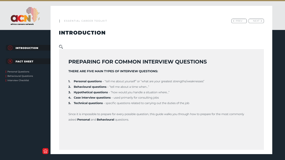## INTRODUCTION

 $\mathbb{O}_{\mathsf{O}}$ 

## **PREPARING FOR COMMON INTERVIEW QUESTIONS**

#### **THERE ARE FIVE MAIN TYPES OF INTERVIEW QUESTIONS:**

- **1. Personal questions** "tell me about yourself" or "what are your greatest strengths/weaknesses"
- **2. Behavioural questions** "tell me about a time when…"
- **3. Hypothetical questions** "how would you handle a situation where…"
- **4. Case interview questions**  used primarily for consulting jobs
- **5. Technical questions** specific questions related to carrying out the duties of the job

Since it is impossible to prepare for every possible question, this guide walks you through how to prepare for the most commonly asked **Personal** and **Behavioural** questions.



< PREV || NEXT >



<span id="page-1-0"></span>



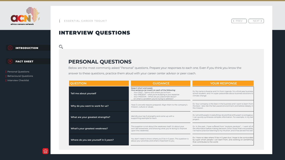$\mathbb{O}_{\mathsf{o}}$ 

# INTERVIEW QUESTIONS

## **PERSONAL QUESTIONS**

Below are the most commonly asked "Personal" questions. Prepare your responses to each one. Even if you think you know the answer to these questions, practice them aloud with your career center advisor or peer coach.

 $\frac{1}{2}$ 

## **QUESTION** Kee<br>One  **Tell me about yourself Why do you want to work for us?** Have 3 concrete reasons prepared. All the company of the company of the company mis  $\frac{1}{\sqrt{2\pi}}\int_{0}^{\pi}\frac{1}{\sqrt{2\pi}}\left( \frac{1}{\sqrt{2\pi}}\right) \frac{d\mu}{2}d\mu d\nu$ *What are your greatest strengths?* Integral and come up to 3 strengths and come up with and come up with and come up with an original and come up with an original and come up with an original and come up with an origina sup  $\frac{1}{1-\frac{1}{2}}\left( \frac{1}{\sqrt{2}}\right) ^{2}+\frac{1}{2}\left( \frac{1}{2}\right) ^{2}+\frac{1}{2}\left( \frac{1}{2}\right) ^{2}+\frac{1}{2}\left( \frac{1}{2}\right) ^{2}+\frac{1}{2}\left( \frac{1}{2}\right) ^{2}+\frac{1}{2}\left( \frac{1}{2}\right) ^{2}+\frac{1}{2}\left( \frac{1}{2}\right) ^{2}+\frac{1}{2}\left( \frac{1}{2}\right) ^{2}+\frac{1}{2}\left( \frac{1}{2}\right) ^{2}+\frac{1}{2}\left( \frac$  **What's your greatest weakness?** upo  **Where do you see yourself in 5 years?** Now where do you see yourself in 5 years?



 $\left\langle \begin{array}{cc} PREV & | & NEXT \end{array} \right\rangle$ 

| <b>GUIDANCE</b>                                                                                                                                                                                                                                                                    | <b>YOUR RESPONSE</b>                                                                                                                                                                                                                   |  |
|------------------------------------------------------------------------------------------------------------------------------------------------------------------------------------------------------------------------------------------------------------------------------------|----------------------------------------------------------------------------------------------------------------------------------------------------------------------------------------------------------------------------------------|--|
| Keep it short and sweet.<br>One sentence (at most!) on each of the following:<br>Your PAST - Name and where you're from<br>Your PRESENT - what you're studying or your expertise<br>Your PASSION - What are you passionate about?<br>Or what's a problem you're trying to address? | Ex: My name is Kwame and I'm from Uganda. I'm a third year business<br>school student, and I'm super passionate about business solutions to<br>climate change.                                                                         |  |
| Have 3 concrete reasons prepared. Align them to the company's<br>mission, culture or values.                                                                                                                                                                                       | Ex: Your company is the best in the business and I want to learn from<br>the best. I also like the fast-paced environment and believe deeply in<br>the mission.                                                                        |  |
| Identify your top 3 strengths and come up with a<br>supporting example for each.                                                                                                                                                                                                   | Ex: I am enthusiastic in everything I do and that enthusiasm is contagious.<br>I can quickly synthesize complex information. For example, in my last<br>project                                                                        |  |
| This question is not about the weakness itself. It's about your<br>own self-awareness, and showing what you're doing to improve<br>upon this weakness.                                                                                                                             | Ex: In the past, I have suffered from "analysis paralysis" - I want all of<br>the information before making decisions. Since I know that's not possible,<br>I've had to practice listening to my intuition, and it has served me well. |  |
| You don't need to know where you'll be in 5 years. This question is<br>about your priorities and what's important to you.                                                                                                                                                          | Ex: I have no idea where I'll be in 5 years but I hope to be surrounded<br>by super smart people I can learn from, and working on something<br>that contributes to the world.                                                          |  |







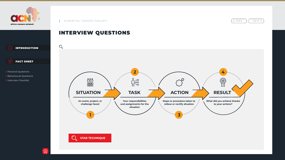## INTERVIEW QUESTIONS



**STAR TECHNIQUE** 



 $\left\{ \varphi \in \mathbb{R} \mid \varphi \in \mathbb{R} \mid \varphi \in \mathbb{R} \right\}$  NEXT >







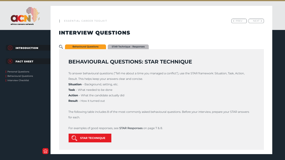# INTERVIEW QUESTIONS

## **BEHAVIOURAL QUESTIONS: STAR TECHNIQUE**

To answer behavioural questions ("Tell me about a time you managed a conflict"), use the STAR framework: Situation, Task, Action,

The following table includes 8 of the most commonly asked behavioural questions. Before your interview, prepare your STAR answers for each. **STAR Technique - Responses**<br> **STAR Technique - Responses**<br> **STAN CULCS TIONS:**<br>
For behavioural questions ("Tell me about a time y<br>
his helps keep your answers clear and concise.<br>
In - Background, setting, etc.<br>
What the

For examples of good responses, see **STAR Responses** on page 7 & 8.



< PREV || NEXT >



Result. This helps keep your answers clear and concise.

**Situation** – Background, setting, etc.

**Task** – What needed to be done

**Action** – What the candidate actually did

**Result** – How it turned out

**Behavioural Questions**

 $\mathbb{O}_{\!o}$ 



INTRODUCTION

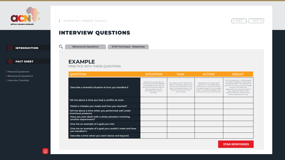#### **QUESTION**

 **Describe a stressful situation & how you handled it**

# **EXAMPLE** PRACTICE WITH THESE QUESTIONS Personal Questions Behavioural Questions STAR Technique - Responses<br> **PEXAMPLE**<br>
PRACTICE WITH THESE QUESTIONS<br>
Personal Questions<br>
Behavioural Questions<br>
Interview Checklist

|                  | <b>SITUATION</b>                                                                                                                                                                                     | <b>TASK</b>                                                                                                                                                                                | <b>ACTION</b>                                                                                                                                                                                                     | <b>RESULT</b>                                                                                                                                                                                                                                                                                                                        |
|------------------|------------------------------------------------------------------------------------------------------------------------------------------------------------------------------------------------------|--------------------------------------------------------------------------------------------------------------------------------------------------------------------------------------------|-------------------------------------------------------------------------------------------------------------------------------------------------------------------------------------------------------------------|--------------------------------------------------------------------------------------------------------------------------------------------------------------------------------------------------------------------------------------------------------------------------------------------------------------------------------------|
|                  | One time, at my last job, my<br>coworker had a family emergency<br>and needed to miss work for<br>some time, and their super-im-<br>portant project was left<br>unfinished and without a<br>manager. | My supervisor instructed me to<br>take on the project, and with no<br>leniency on the deadline, I had<br>days to complete a project that<br>originally should have taken<br>several weeks. | I requested and was granted a<br>reduction in my weekly goals,<br>allotting me more time to attack<br>the special project. For my weekly<br>goals, I was able to delegate them<br>evenly to some of my teammates. | With the reduction in my daily goals,<br>I was able to dedicate more time to<br>the special project. This allowed me<br>to finish it on time and with complete<br>accuracy. My supervisor<br>appreciated my attitude and drive,<br>and I was given several more<br>projects after that, along with an<br>eventual promotion & raise. |
|                  |                                                                                                                                                                                                      |                                                                                                                                                                                            |                                                                                                                                                                                                                   |                                                                                                                                                                                                                                                                                                                                      |
|                  |                                                                                                                                                                                                      |                                                                                                                                                                                            |                                                                                                                                                                                                                   |                                                                                                                                                                                                                                                                                                                                      |
|                  |                                                                                                                                                                                                      |                                                                                                                                                                                            |                                                                                                                                                                                                                   |                                                                                                                                                                                                                                                                                                                                      |
|                  |                                                                                                                                                                                                      |                                                                                                                                                                                            |                                                                                                                                                                                                                   |                                                                                                                                                                                                                                                                                                                                      |
|                  |                                                                                                                                                                                                      |                                                                                                                                                                                            |                                                                                                                                                                                                                   |                                                                                                                                                                                                                                                                                                                                      |
| $\boldsymbol{M}$ |                                                                                                                                                                                                      |                                                                                                                                                                                            |                                                                                                                                                                                                                   |                                                                                                                                                                                                                                                                                                                                      |
|                  |                                                                                                                                                                                                      |                                                                                                                                                                                            |                                                                                                                                                                                                                   |                                                                                                                                                                                                                                                                                                                                      |

 **Tell me about a time you had a conflict at work**

 **Detail a mistake you made and how you reacted?**

 **Tell me about a time when you performed well under enormous pressure.**

 **Have you ever dealt with a sticky situation involving another department?**

 **Give me an example of a goal you met.**

 **Give me an example of a goal you couldn't meet and how you handled it.**

 **Describe a time when you went above and beyond.**



< PREV | | NEXT >

## INTERVIEW QUESTIONS







#### **STAR RESPONSES**

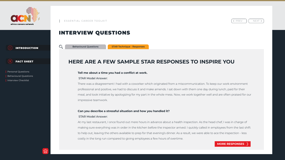# INTERVIEW QUESTIONS

 $\mathbb{O}_{\!o}$ 

## **HERE ARE A FEW SAMPLE STAR RESPONSES TO INSPIRE YOU**

There was a disagreement I had with a coworker which originated from a miscommunication. To keep our work environment professional and positive, we had to discuss it and make amends. I sat down with them one day during lunch, paid for their meal, and took initiative by apologizing for my part in the whole mess. Now, we work together well and are often praised for our impressive teamwork. **ERE ARE A FEW SAMPLE STAR RESPONSES TO INSPIRE YOU**<br> **MORE RESPONSES** TO INSPIRE YOU<br> **MORE ARE A FEW SAMPLE STAR RESPONSES TO INSPIRE YOU**<br> **MORE ARRIVATELY** The about a time you had a conflict at work.<br>
STAR Model Answe

#### **Tell me about a time you had a conflict at work.** STAR Model Answer:

#### **Can you describe a stressful situation and how you handled it?** STAR Model Answer:

At my last restaurant, I once found out mere hours in advance about a health inspection. As the head chef, I was in charge of making sure everything was in order in the kitchen before the inspector arrived. I quickly called in employees from the last shift to help out, leaving the others available to prep for that evening's dinner. As a result, we were able to ace the inspection - less costly in the long run compared to giving employees a few hours of overtime.



< PREV | | NEXT >



**STAR Technique - Responses**





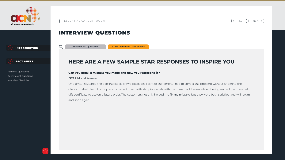## INTERVIEW QUESTIONS

## **HERE ARE A FEW SAMPLE STAR RESPONSES TO INSPIRE YOU**

### **Can you detail a mistake you made and how you reacted to it?** STAR Model Answer:

One time, I switched the packing labels of two packages I sent to customers. I had to correct the problem without angering the clients. I called them both up and provided them with shipping labels with the correct addresses while offering each of them a small gift certificate to use on a future order. The customers not only helped me fix my mistake, but they were both satisfied and will return and shop again.



< PREV || NEXT >



**STAR Technique - Responses**







**EN INTRODUCTION Behavioural Questions<br>
Personal Questions Can you detail a mist<br>
Behavioural Questions Can you detail a mist<br>
Interview Checklist STAR Model Answer:**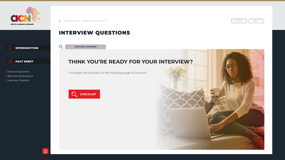# **THINK YOU'RE READY FOR YOUR INTERVIEW?** Interview Checklist<br>**IINK YOU**<br>plete the checkl

# INTERVIEW QUESTIONS



Complete the checklist on the following page to find out!





 $\left\{ \varphi \in \mathbb{R} \mid \varphi \in \mathbb{R} \mid \varphi \in \mathbb{R} \right\}$  NEXT >